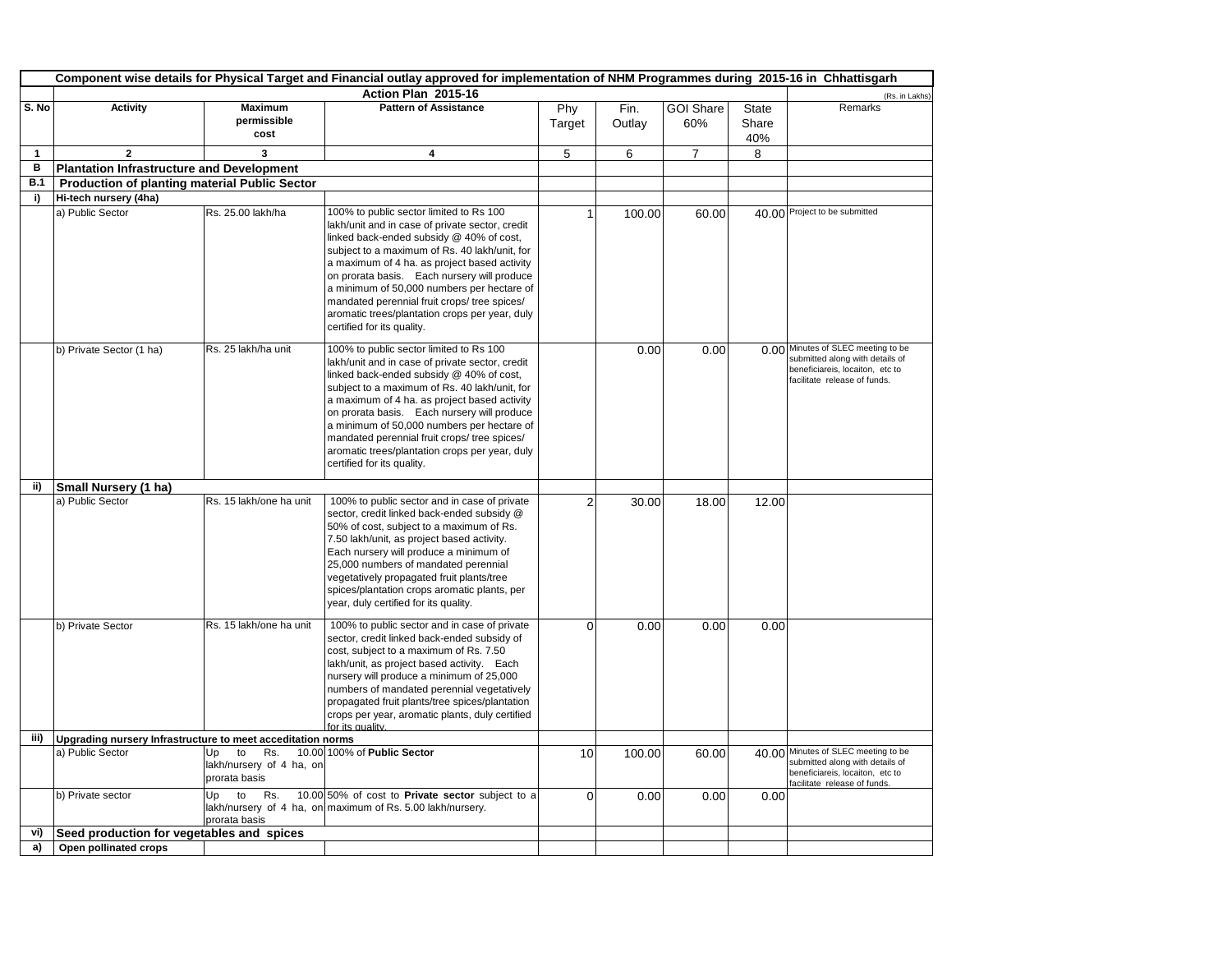|              | Component wise details for Physical Target and Financial outlay approved for implementation of NHM Programmes during 2015-16 in Chhattisgarh |                                                              |                                                                                                                                                                                                                                                                                                                                                                                                                                                                      |               |                |                         |                              |                                                                                                                                           |  |  |
|--------------|----------------------------------------------------------------------------------------------------------------------------------------------|--------------------------------------------------------------|----------------------------------------------------------------------------------------------------------------------------------------------------------------------------------------------------------------------------------------------------------------------------------------------------------------------------------------------------------------------------------------------------------------------------------------------------------------------|---------------|----------------|-------------------------|------------------------------|-------------------------------------------------------------------------------------------------------------------------------------------|--|--|
|              |                                                                                                                                              |                                                              | Action Plan 2015-16                                                                                                                                                                                                                                                                                                                                                                                                                                                  |               |                |                         |                              | (Rs. in Lakhs)                                                                                                                            |  |  |
| S. No        | <b>Activity</b>                                                                                                                              | <b>Maximum</b><br>permissible<br>cost                        | <b>Pattern of Assistance</b>                                                                                                                                                                                                                                                                                                                                                                                                                                         | Phy<br>Target | Fin.<br>Outlay | <b>GOI Share</b><br>60% | <b>State</b><br>Share<br>40% | Remarks                                                                                                                                   |  |  |
| $\mathbf{1}$ | $\overline{2}$                                                                                                                               | 3                                                            | 4                                                                                                                                                                                                                                                                                                                                                                                                                                                                    | 5             | 6              | $\overline{7}$          | 8                            |                                                                                                                                           |  |  |
| в            | <b>Plantation Infrastructure and Development</b>                                                                                             |                                                              |                                                                                                                                                                                                                                                                                                                                                                                                                                                                      |               |                |                         |                              |                                                                                                                                           |  |  |
| B.1          | Production of planting material Public Sector                                                                                                |                                                              |                                                                                                                                                                                                                                                                                                                                                                                                                                                                      |               |                |                         |                              |                                                                                                                                           |  |  |
| i)           | Hi-tech nursery (4ha)                                                                                                                        |                                                              |                                                                                                                                                                                                                                                                                                                                                                                                                                                                      |               |                |                         |                              |                                                                                                                                           |  |  |
|              | a) Public Sector                                                                                                                             | Rs. 25.00 lakh/ha                                            | 100% to public sector limited to Rs 100<br>lakh/unit and in case of private sector, credit<br>linked back-ended subsidy @ 40% of cost,<br>subject to a maximum of Rs. 40 lakh/unit, for<br>a maximum of 4 ha. as project based activity<br>on prorata basis. Each nursery will produce<br>a minimum of 50,000 numbers per hectare of<br>mandated perennial fruit crops/ tree spices/<br>aromatic trees/plantation crops per year, duly<br>certified for its quality. |               | 100.00         | 60.00                   |                              | 40.00 Project to be submitted                                                                                                             |  |  |
|              | b) Private Sector (1 ha)                                                                                                                     | Rs. 25 lakh/ha unit                                          | 100% to public sector limited to Rs 100<br>lakh/unit and in case of private sector, credit<br>linked back-ended subsidy @ 40% of cost,<br>subject to a maximum of Rs. 40 lakh/unit, for<br>a maximum of 4 ha. as project based activity<br>on prorata basis. Each nursery will produce<br>a minimum of 50,000 numbers per hectare of<br>mandated perennial fruit crops/ tree spices/<br>aromatic trees/plantation crops per year, duly<br>certified for its quality. |               | 0.00           | 0.00                    |                              | 0.00 Minutes of SLEC meeting to be<br>submitted along with details of<br>beneficiareis, locaiton, etc to<br>facilitate release of funds.  |  |  |
| ii)          | Small Nursery (1 ha)                                                                                                                         |                                                              |                                                                                                                                                                                                                                                                                                                                                                                                                                                                      |               |                |                         |                              |                                                                                                                                           |  |  |
|              | a) Public Sector                                                                                                                             | Rs. 15 lakh/one ha unit                                      | 100% to public sector and in case of private<br>sector, credit linked back-ended subsidy @<br>50% of cost, subject to a maximum of Rs.<br>7.50 lakh/unit, as project based activity.<br>Each nursery will produce a minimum of<br>25,000 numbers of mandated perennial<br>vegetatively propagated fruit plants/tree<br>spices/plantation crops aromatic plants, per<br>year, duly certified for its quality.                                                         | 2             | 30.00          | 18.00                   | 12.00                        |                                                                                                                                           |  |  |
|              | b) Private Sector                                                                                                                            | Rs. 15 lakh/one ha unit                                      | 100% to public sector and in case of private<br>sector, credit linked back-ended subsidy of<br>cost, subject to a maximum of Rs. 7.50<br>lakh/unit, as project based activity. Each<br>nursery will produce a minimum of 25,000<br>numbers of mandated perennial vegetatively<br>propagated fruit plants/tree spices/plantation<br>crops per year, aromatic plants, duly certified<br>for its quality.                                                               | $\Omega$      | 0.00           | 0.00                    | 0.00                         |                                                                                                                                           |  |  |
| iii)         | Upgrading nursery Infrastructure to meet acceditation norms                                                                                  |                                                              |                                                                                                                                                                                                                                                                                                                                                                                                                                                                      |               |                |                         |                              |                                                                                                                                           |  |  |
|              | a) Public Sector                                                                                                                             | Up<br>to<br>Rs.<br>lakh/nursery of 4 ha, on<br>prorata basis | 10.00 100% of Public Sector                                                                                                                                                                                                                                                                                                                                                                                                                                          | 10            | 100.00         | 60.00                   |                              | 40.00 Minutes of SLEC meeting to be<br>submitted along with details of<br>beneficiareis, locaiton, etc to<br>facilitate release of funds. |  |  |
|              | b) Private sector                                                                                                                            | Up<br>to<br>Rs.<br>prorata basis                             | 10.00 50% of cost to Private sector subject to a<br>lakh/nursery of 4 ha, on maximum of Rs. 5.00 lakh/nursery.                                                                                                                                                                                                                                                                                                                                                       | $\Omega$      | 0.00           | 0.00                    | 0.00                         |                                                                                                                                           |  |  |
| vi)          | Seed production for vegetables and spices                                                                                                    |                                                              |                                                                                                                                                                                                                                                                                                                                                                                                                                                                      |               |                |                         |                              |                                                                                                                                           |  |  |
| a)           | Open pollinated crops                                                                                                                        |                                                              |                                                                                                                                                                                                                                                                                                                                                                                                                                                                      |               |                |                         |                              |                                                                                                                                           |  |  |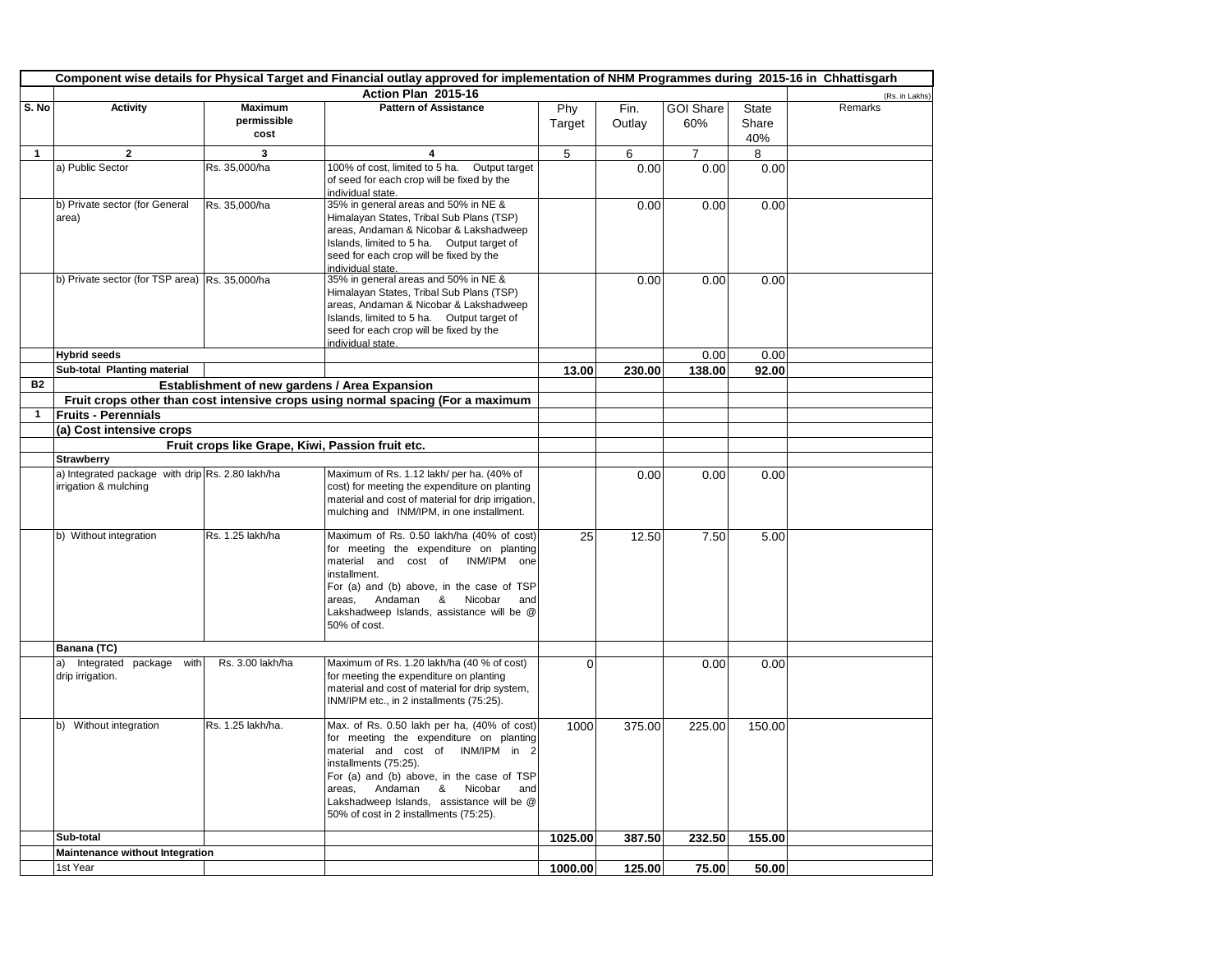|              | Component wise details for Physical Target and Financial outlay approved for implementation of NHM Programmes during 2015-16 in Chhattisgarh |                                                  |                                                                                            |          |        |                  |              |                |
|--------------|----------------------------------------------------------------------------------------------------------------------------------------------|--------------------------------------------------|--------------------------------------------------------------------------------------------|----------|--------|------------------|--------------|----------------|
|              |                                                                                                                                              |                                                  | Action Plan 2015-16                                                                        |          |        |                  |              | (Rs. in Lakhs) |
| S. No        | <b>Activity</b>                                                                                                                              | <b>Maximum</b>                                   | <b>Pattern of Assistance</b>                                                               | Phy      | Fin.   | <b>GOI Share</b> | <b>State</b> | Remarks        |
|              |                                                                                                                                              | permissible                                      |                                                                                            | Target   | Outlay | 60%              | Share        |                |
|              |                                                                                                                                              | cost                                             |                                                                                            |          |        |                  | 40%          |                |
| 1            | $\overline{2}$                                                                                                                               | 3                                                | $\overline{\mathbf{A}}$                                                                    | 5        | 6      | $\overline{7}$   | 8            |                |
|              | a) Public Sector                                                                                                                             | Rs. 35,000/ha                                    | 100% of cost, limited to 5 ha.<br>Output target                                            |          | 0.00   | 0.00             | 0.00         |                |
|              |                                                                                                                                              |                                                  | of seed for each crop will be fixed by the                                                 |          |        |                  |              |                |
|              | b) Private sector (for General                                                                                                               | Rs. 35,000/ha                                    | individual state.<br>35% in general areas and 50% in NE &                                  |          | 0.00   | 0.00             | 0.00         |                |
|              | area)                                                                                                                                        |                                                  | Himalayan States, Tribal Sub Plans (TSP)                                                   |          |        |                  |              |                |
|              |                                                                                                                                              |                                                  | areas, Andaman & Nicobar & Lakshadweep                                                     |          |        |                  |              |                |
|              |                                                                                                                                              |                                                  | Islands, limited to 5 ha. Output target of                                                 |          |        |                  |              |                |
|              |                                                                                                                                              |                                                  | seed for each crop will be fixed by the<br>individual state.                               |          |        |                  |              |                |
|              | b) Private sector (for TSP area) Rs. 35,000/ha                                                                                               |                                                  | 35% in general areas and 50% in NE &                                                       |          | 0.00   | 0.00             | 0.00         |                |
|              |                                                                                                                                              |                                                  | Himalayan States, Tribal Sub Plans (TSP)                                                   |          |        |                  |              |                |
|              |                                                                                                                                              |                                                  | areas, Andaman & Nicobar & Lakshadweep                                                     |          |        |                  |              |                |
|              |                                                                                                                                              |                                                  | Islands, limited to 5 ha. Output target of                                                 |          |        |                  |              |                |
|              |                                                                                                                                              |                                                  | seed for each crop will be fixed by the<br>individual state.                               |          |        |                  |              |                |
|              | <b>Hybrid seeds</b>                                                                                                                          |                                                  |                                                                                            |          |        | 0.00             | 0.00         |                |
|              | Sub-total Planting material                                                                                                                  |                                                  |                                                                                            | 13.00    | 230.00 | 138.00           | 92.00        |                |
| <b>B2</b>    |                                                                                                                                              | Establishment of new gardens / Area Expansion    |                                                                                            |          |        |                  |              |                |
|              |                                                                                                                                              |                                                  | Fruit crops other than cost intensive crops using normal spacing (For a maximum            |          |        |                  |              |                |
| $\mathbf{1}$ | <b>Fruits - Perennials</b>                                                                                                                   |                                                  |                                                                                            |          |        |                  |              |                |
|              | (a) Cost intensive crops                                                                                                                     |                                                  |                                                                                            |          |        |                  |              |                |
|              |                                                                                                                                              | Fruit crops like Grape, Kiwi, Passion fruit etc. |                                                                                            |          |        |                  |              |                |
|              | <b>Strawberry</b>                                                                                                                            |                                                  |                                                                                            |          |        |                  |              |                |
|              | a) Integrated package with drip Rs. 2.80 lakh/ha<br>irrigation & mulching                                                                    |                                                  | Maximum of Rs. 1.12 lakh/ per ha. (40% of<br>cost) for meeting the expenditure on planting |          | 0.00   | 0.00             | 0.00         |                |
|              |                                                                                                                                              |                                                  | material and cost of material for drip irrigation,                                         |          |        |                  |              |                |
|              |                                                                                                                                              |                                                  | mulching and INM/IPM, in one installment.                                                  |          |        |                  |              |                |
|              | b) Without integration                                                                                                                       | Rs. 1.25 lakh/ha                                 | Maximum of Rs. 0.50 lakh/ha (40% of cost)                                                  |          |        |                  |              |                |
|              |                                                                                                                                              |                                                  | for meeting the expenditure on planting                                                    | 25       | 12.50  | 7.50             | 5.00         |                |
|              |                                                                                                                                              |                                                  | material and cost of<br>INM/IPM one                                                        |          |        |                  |              |                |
|              |                                                                                                                                              |                                                  | installment.                                                                               |          |        |                  |              |                |
|              |                                                                                                                                              |                                                  | For (a) and (b) above, in the case of TSP                                                  |          |        |                  |              |                |
|              |                                                                                                                                              |                                                  | Nicobar<br>Andaman &<br>areas,<br>and<br>Lakshadweep Islands, assistance will be @         |          |        |                  |              |                |
|              |                                                                                                                                              |                                                  | 50% of cost.                                                                               |          |        |                  |              |                |
|              |                                                                                                                                              |                                                  |                                                                                            |          |        |                  |              |                |
|              | Banana (TC)                                                                                                                                  |                                                  |                                                                                            |          |        |                  |              |                |
|              | a) Integrated package<br>with<br>drip irrigation.                                                                                            | Rs. 3.00 lakh/ha                                 | Maximum of Rs. 1.20 lakh/ha (40 % of cost)<br>for meeting the expenditure on planting      | $\Omega$ |        | 0.00             | 0.00         |                |
|              |                                                                                                                                              |                                                  | material and cost of material for drip system,                                             |          |        |                  |              |                |
|              |                                                                                                                                              |                                                  | INM/IPM etc., in 2 installments (75:25).                                                   |          |        |                  |              |                |
|              | b) Without integration                                                                                                                       | Rs. 1.25 lakh/ha.                                | Max. of Rs. 0.50 lakh per ha, (40% of cost)                                                |          |        |                  |              |                |
|              |                                                                                                                                              |                                                  | for meeting the expenditure on planting                                                    | 1000     | 375.00 | 225.00           | 150.00       |                |
|              |                                                                                                                                              |                                                  | material and cost of INM/IPM in 2                                                          |          |        |                  |              |                |
|              |                                                                                                                                              |                                                  | installments (75:25).                                                                      |          |        |                  |              |                |
|              |                                                                                                                                              |                                                  | For (a) and (b) above, in the case of TSP                                                  |          |        |                  |              |                |
|              |                                                                                                                                              |                                                  | Andaman &<br>Nicobar<br>areas,<br>and                                                      |          |        |                  |              |                |
|              |                                                                                                                                              |                                                  | Lakshadweep Islands, assistance will be @<br>50% of cost in 2 installments (75:25).        |          |        |                  |              |                |
|              |                                                                                                                                              |                                                  |                                                                                            |          |        |                  |              |                |
|              | Sub-total                                                                                                                                    |                                                  |                                                                                            | 1025.00  | 387.50 | 232.50           | 155.00       |                |
|              | Maintenance without Integration<br>1st Year                                                                                                  |                                                  |                                                                                            |          |        |                  |              |                |
|              |                                                                                                                                              |                                                  |                                                                                            | 1000.00  | 125.00 | 75.00            | 50.00        |                |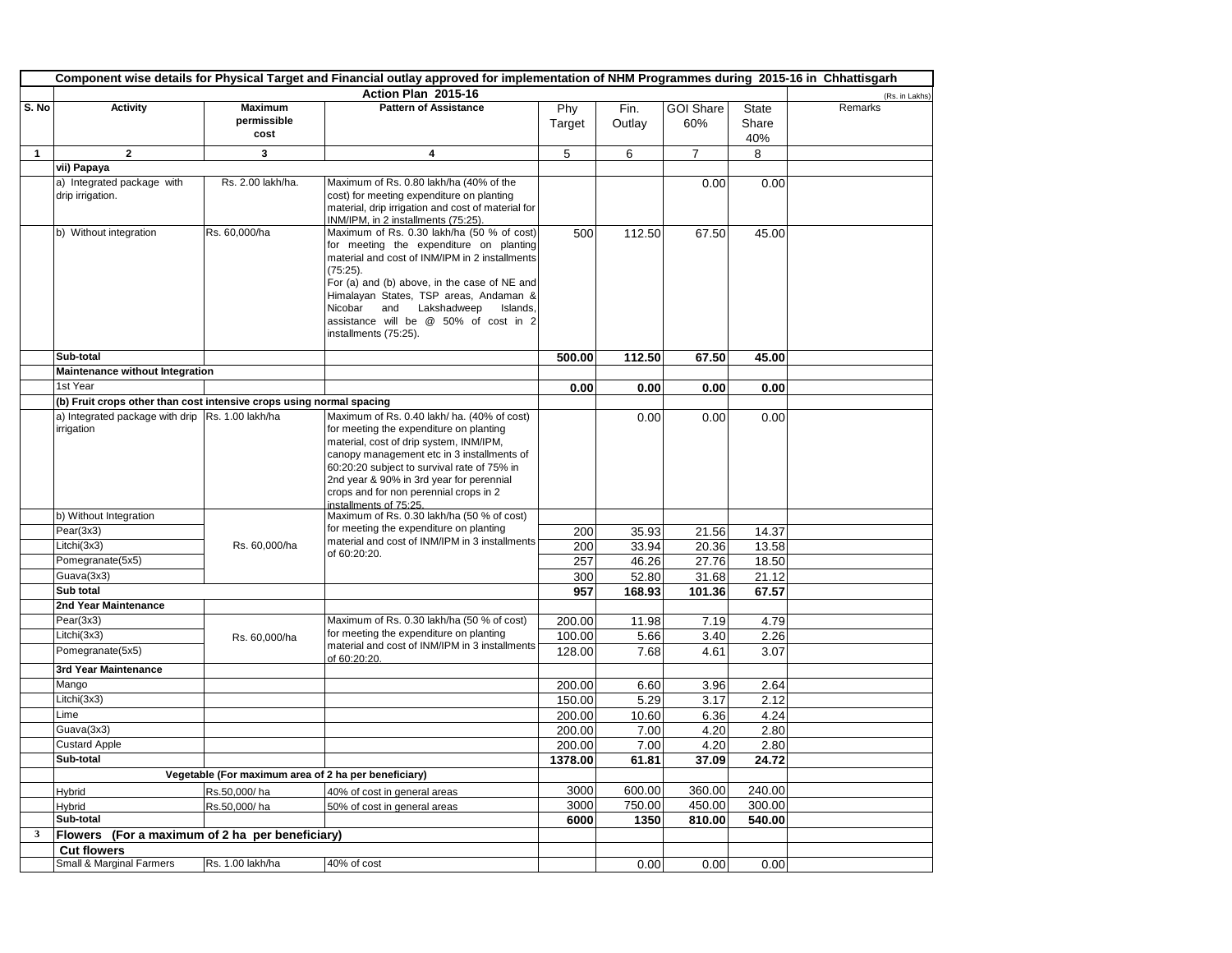|              | Component wise details for Physical Target and Financial outlay approved for implementation of NHM Programmes during 2015-16 in Chhattisgarh |                                                      |                                                                                           |              |                  |                  |                  |                |
|--------------|----------------------------------------------------------------------------------------------------------------------------------------------|------------------------------------------------------|-------------------------------------------------------------------------------------------|--------------|------------------|------------------|------------------|----------------|
|              |                                                                                                                                              |                                                      | Action Plan 2015-16                                                                       |              |                  |                  |                  | (Rs. in Lakhs) |
| S. No        | <b>Activity</b>                                                                                                                              | <b>Maximum</b>                                       | <b>Pattern of Assistance</b>                                                              | Phy          | Fin.             | <b>GOI Share</b> | <b>State</b>     | Remarks        |
|              |                                                                                                                                              | permissible                                          |                                                                                           | Target       | Outlay           | 60%              | Share            |                |
|              |                                                                                                                                              | cost                                                 |                                                                                           |              |                  |                  | 40%              |                |
| $\mathbf{1}$ | $\overline{2}$                                                                                                                               | 3                                                    | 4                                                                                         | 5            | 6                | $\overline{7}$   | 8                |                |
|              | vii) Papaya                                                                                                                                  |                                                      |                                                                                           |              |                  |                  |                  |                |
|              | a) Integrated package with                                                                                                                   | Rs. 2.00 lakh/ha.                                    | Maximum of Rs. 0.80 lakh/ha (40% of the                                                   |              |                  | 0.00             | 0.00             |                |
|              | drip irrigation.                                                                                                                             |                                                      | cost) for meeting expenditure on planting                                                 |              |                  |                  |                  |                |
|              |                                                                                                                                              |                                                      | material, drip irrigation and cost of material for<br>INM/IPM, in 2 installments (75:25)  |              |                  |                  |                  |                |
|              | b) Without integration                                                                                                                       | Rs. 60,000/ha                                        | Maximum of Rs. 0.30 lakh/ha (50 % of cost)                                                | 500          | 112.50           | 67.50            | 45.00            |                |
|              |                                                                                                                                              |                                                      | for meeting the expenditure on planting                                                   |              |                  |                  |                  |                |
|              |                                                                                                                                              |                                                      | material and cost of INM/IPM in 2 installments                                            |              |                  |                  |                  |                |
|              |                                                                                                                                              |                                                      | $(75:25)$ .                                                                               |              |                  |                  |                  |                |
|              |                                                                                                                                              |                                                      | For (a) and (b) above, in the case of NE and<br>Himalayan States, TSP areas, Andaman &    |              |                  |                  |                  |                |
|              |                                                                                                                                              |                                                      | Nicobar<br>and Lakshadweep<br>Islands.                                                    |              |                  |                  |                  |                |
|              |                                                                                                                                              |                                                      | assistance will be @ 50% of cost in 2                                                     |              |                  |                  |                  |                |
|              |                                                                                                                                              |                                                      | installments (75:25).                                                                     |              |                  |                  |                  |                |
|              | Sub-total                                                                                                                                    |                                                      |                                                                                           | 500.00       | 112.50           | 67.50            | 45.00            |                |
|              | Maintenance without Integration                                                                                                              |                                                      |                                                                                           |              |                  |                  |                  |                |
|              | 1st Year                                                                                                                                     |                                                      |                                                                                           | 0.00         | 0.00             | 0.00             | 0.00             |                |
|              | (b) Fruit crops other than cost intensive crops using normal spacing                                                                         |                                                      |                                                                                           |              |                  |                  |                  |                |
|              | a) Integrated package with drip Rs. 1.00 lakh/ha                                                                                             |                                                      | Maximum of Rs. 0.40 lakh/ ha. (40% of cost)                                               |              | 0.00             | 0.00             | 0.00             |                |
|              | irrigation                                                                                                                                   |                                                      | for meeting the expenditure on planting                                                   |              |                  |                  |                  |                |
|              |                                                                                                                                              |                                                      | material, cost of drip system, INM/IPM,                                                   |              |                  |                  |                  |                |
|              |                                                                                                                                              |                                                      | canopy management etc in 3 installments of<br>60:20:20 subject to survival rate of 75% in |              |                  |                  |                  |                |
|              |                                                                                                                                              |                                                      | 2nd year & 90% in 3rd year for perennial                                                  |              |                  |                  |                  |                |
|              |                                                                                                                                              |                                                      | crops and for non perennial crops in 2                                                    |              |                  |                  |                  |                |
|              |                                                                                                                                              |                                                      | installments of 75:25                                                                     |              |                  |                  |                  |                |
|              | b) Without Integration                                                                                                                       |                                                      | Maximum of Rs. 0.30 lakh/ha (50 % of cost)                                                |              |                  |                  |                  |                |
|              | Pear(3x3)                                                                                                                                    |                                                      | for meeting the expenditure on planting<br>material and cost of INM/IPM in 3 installments | 200          | 35.93            | 21.56            | 14.37            |                |
|              | Litchi(3x3)                                                                                                                                  | Rs. 60,000/ha                                        | of 60:20:20.                                                                              | 200          | 33.94            | 20.36            | 13.58            |                |
|              | Pomegranate(5x5)                                                                                                                             |                                                      |                                                                                           | 257          | 46.26            | 27.76            | 18.50            |                |
|              | Guava(3x3)                                                                                                                                   |                                                      |                                                                                           | 300          | 52.80            | 31.68            | 21.12            |                |
|              | Sub total                                                                                                                                    |                                                      |                                                                                           | 957          | 168.93           | 101.36           | 67.57            |                |
|              | 2nd Year Maintenance                                                                                                                         |                                                      |                                                                                           |              |                  |                  |                  |                |
|              | Pear(3x3)<br>Litchi(3x3)                                                                                                                     |                                                      | Maximum of Rs. 0.30 lakh/ha (50 % of cost)<br>for meeting the expenditure on planting     | 200.00       | 11.98            | 7.19             | 4.79             |                |
|              |                                                                                                                                              | Rs. 60,000/ha                                        | material and cost of INM/IPM in 3 installments                                            | 100.00       | 5.66             | 3.40             | 2.26             |                |
|              | Pomegranate(5x5)                                                                                                                             |                                                      | of 60:20:20.                                                                              | 128.00       | 7.68             | 4.61             | 3.07             |                |
|              | 3rd Year Maintenance                                                                                                                         |                                                      |                                                                                           |              |                  |                  |                  |                |
|              | Mango                                                                                                                                        |                                                      |                                                                                           | 200.00       | 6.60             | 3.96             | 2.64             |                |
|              | Litchi(3x3)                                                                                                                                  |                                                      |                                                                                           | 150.00       | 5.29             | 3.17             | 2.12             |                |
|              | Lime                                                                                                                                         |                                                      |                                                                                           | 200.00       | 10.60            | 6.36             | 4.24             |                |
|              | Guava(3x3)                                                                                                                                   |                                                      |                                                                                           | 200.00       | 7.00             | 4.20             | 2.80             |                |
|              | <b>Custard Apple</b>                                                                                                                         |                                                      |                                                                                           | 200.00       | 7.00             | 4.20             | 2.80             |                |
|              | Sub-total                                                                                                                                    | Vegetable (For maximum area of 2 ha per beneficiary) |                                                                                           | 1378.00      | 61.81            | 37.09            | 24.72            |                |
|              |                                                                                                                                              |                                                      |                                                                                           |              |                  |                  |                  |                |
|              | Hybrid                                                                                                                                       | Rs.50,000/ha                                         | 40% of cost in general areas                                                              | 3000<br>3000 | 600.00<br>750.00 | 360.00<br>450.00 | 240.00<br>300.00 |                |
|              | Hybrid<br>Sub-total                                                                                                                          | Rs.50,000/ha                                         | 50% of cost in general areas                                                              | 6000         | 1350             | 810.00           | 540.00           |                |
| $\mathbf{3}$ | Flowers (For a maximum of 2 ha per beneficiary)                                                                                              |                                                      |                                                                                           |              |                  |                  |                  |                |
|              | <b>Cut flowers</b>                                                                                                                           |                                                      |                                                                                           |              |                  |                  |                  |                |
|              | Small & Marginal Farmers                                                                                                                     | Rs. 1.00 lakh/ha                                     | 40% of cost                                                                               |              | 0.00             | 0.00             | 0.00             |                |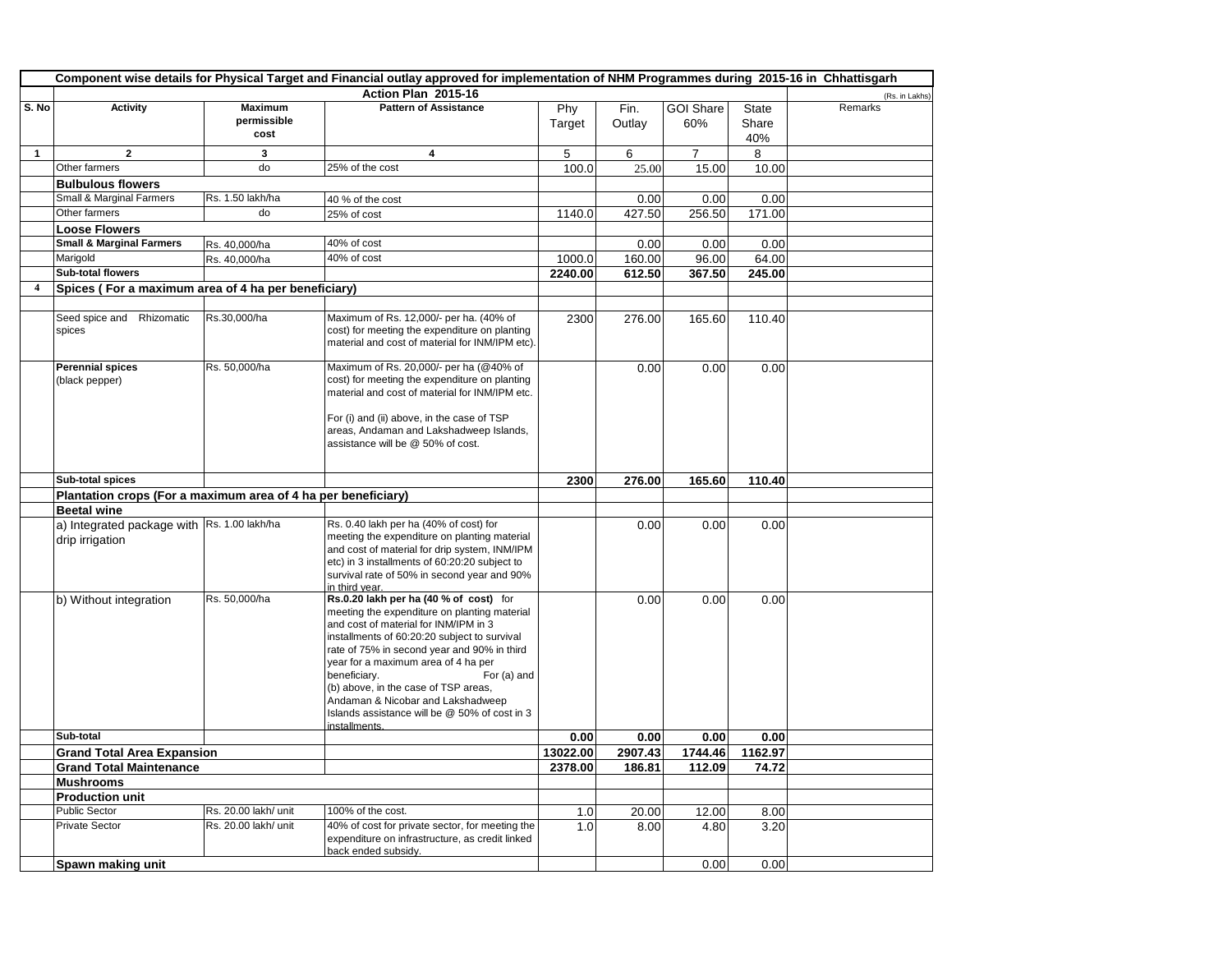|              | Component wise details for Physical Target and Financial outlay approved for implementation of NHM Programmes during 2015-16 in Chhattisgarh |                      |                                                                                               |          |         |                  |              |                |  |
|--------------|----------------------------------------------------------------------------------------------------------------------------------------------|----------------------|-----------------------------------------------------------------------------------------------|----------|---------|------------------|--------------|----------------|--|
|              |                                                                                                                                              |                      | Action Plan 2015-16                                                                           |          |         |                  |              | (Rs. in Lakhs) |  |
| S. No        | <b>Activity</b>                                                                                                                              | <b>Maximum</b>       | <b>Pattern of Assistance</b>                                                                  | Phy      | Fin.    | <b>GOI Share</b> | <b>State</b> | Remarks        |  |
|              |                                                                                                                                              | permissible          |                                                                                               | Target   | Outlay  | 60%              | Share        |                |  |
|              |                                                                                                                                              | cost                 |                                                                                               |          |         |                  | 40%          |                |  |
| $\mathbf{1}$ | $\overline{2}$                                                                                                                               | 3                    | 4                                                                                             | 5        | 6       | $\overline{7}$   | 8            |                |  |
|              | Other farmers                                                                                                                                | do                   | 25% of the cost                                                                               | 100.0    | 25.00   | 15.00            | 10.00        |                |  |
|              | <b>Bulbulous flowers</b>                                                                                                                     |                      |                                                                                               |          |         |                  |              |                |  |
|              | Small & Marginal Farmers                                                                                                                     | Rs. 1.50 lakh/ha     | 40 % of the cost                                                                              |          | 0.00    | 0.00             | 0.00         |                |  |
|              | Other farmers                                                                                                                                | do                   | 25% of cost                                                                                   | 1140.0   | 427.50  | 256.50           | 171.00       |                |  |
|              | <b>Loose Flowers</b>                                                                                                                         |                      |                                                                                               |          |         |                  |              |                |  |
|              | <b>Small &amp; Marginal Farmers</b>                                                                                                          | Rs. 40,000/ha        | 40% of cost                                                                                   |          | 0.00    | 0.00             | 0.00         |                |  |
|              | Marigold                                                                                                                                     | Rs. 40,000/ha        | 40% of cost                                                                                   | 1000.0   | 160.00  | 96.00            | 64.00        |                |  |
|              | <b>Sub-total flowers</b>                                                                                                                     |                      |                                                                                               | 2240.00  | 612.50  | 367.50           | 245.00       |                |  |
| 4            | Spices (For a maximum area of 4 ha per beneficiary)                                                                                          |                      |                                                                                               |          |         |                  |              |                |  |
|              |                                                                                                                                              |                      |                                                                                               |          |         |                  |              |                |  |
|              | Seed spice and Rhizomatic<br>spices                                                                                                          | Rs.30,000/ha         | Maximum of Rs. 12,000/- per ha. (40% of<br>cost) for meeting the expenditure on planting      | 2300     | 276.00  | 165.60           | 110.40       |                |  |
|              |                                                                                                                                              |                      | material and cost of material for INM/IPM etc).                                               |          |         |                  |              |                |  |
|              | <b>Perennial spices</b>                                                                                                                      | Rs. 50,000/ha        | Maximum of Rs. 20,000/- per ha (@40% of                                                       |          | 0.00    | 0.00             | 0.00         |                |  |
|              | (black pepper)                                                                                                                               |                      | cost) for meeting the expenditure on planting                                                 |          |         |                  |              |                |  |
|              |                                                                                                                                              |                      | material and cost of material for INM/IPM etc.                                                |          |         |                  |              |                |  |
|              |                                                                                                                                              |                      | For (i) and (ii) above, in the case of TSP                                                    |          |         |                  |              |                |  |
|              |                                                                                                                                              |                      | areas, Andaman and Lakshadweep Islands,                                                       |          |         |                  |              |                |  |
|              |                                                                                                                                              |                      | assistance will be @ 50% of cost.                                                             |          |         |                  |              |                |  |
|              |                                                                                                                                              |                      |                                                                                               |          |         |                  |              |                |  |
|              | Sub-total spices                                                                                                                             |                      |                                                                                               | 2300     | 276.00  | 165.60           | 110.40       |                |  |
|              | Plantation crops (For a maximum area of 4 ha per beneficiary)                                                                                |                      |                                                                                               |          |         |                  |              |                |  |
|              | <b>Beetal wine</b>                                                                                                                           |                      |                                                                                               |          |         |                  |              |                |  |
|              | a) Integrated package with Rs. 1.00 lakh/ha                                                                                                  |                      | Rs. 0.40 lakh per ha (40% of cost) for                                                        |          | 0.00    | 0.00             | 0.00         |                |  |
|              | drip irrigation                                                                                                                              |                      | meeting the expenditure on planting material<br>and cost of material for drip system, INM/IPM |          |         |                  |              |                |  |
|              |                                                                                                                                              |                      | etc) in 3 installments of 60:20:20 subject to                                                 |          |         |                  |              |                |  |
|              |                                                                                                                                              |                      | survival rate of 50% in second year and 90%                                                   |          |         |                  |              |                |  |
|              |                                                                                                                                              |                      | in third year.                                                                                |          |         |                  |              |                |  |
|              | b) Without integration                                                                                                                       | Rs. 50,000/ha        | Rs.0.20 lakh per ha (40 % of cost) for<br>meeting the expenditure on planting material        |          | 0.00    | 0.00             | 0.00         |                |  |
|              |                                                                                                                                              |                      | and cost of material for INM/IPM in 3                                                         |          |         |                  |              |                |  |
|              |                                                                                                                                              |                      | installments of 60:20:20 subject to survival                                                  |          |         |                  |              |                |  |
|              |                                                                                                                                              |                      | rate of 75% in second year and 90% in third                                                   |          |         |                  |              |                |  |
|              |                                                                                                                                              |                      | year for a maximum area of 4 ha per                                                           |          |         |                  |              |                |  |
|              |                                                                                                                                              |                      | beneficiary.<br>For (a) and<br>(b) above, in the case of TSP areas,                           |          |         |                  |              |                |  |
|              |                                                                                                                                              |                      | Andaman & Nicobar and Lakshadweep                                                             |          |         |                  |              |                |  |
|              |                                                                                                                                              |                      | Islands assistance will be @ 50% of cost in 3                                                 |          |         |                  |              |                |  |
|              |                                                                                                                                              |                      | installments.                                                                                 |          |         |                  |              |                |  |
|              | Sub-total                                                                                                                                    |                      |                                                                                               | 0.00     | 0.00    | 0.00             | 0.00         |                |  |
|              | <b>Grand Total Area Expansion</b>                                                                                                            |                      |                                                                                               | 13022.00 | 2907.43 | 1744.46          | 1162.97      |                |  |
|              | <b>Grand Total Maintenance</b>                                                                                                               |                      |                                                                                               | 2378.00  | 186.81  | 112.09           | 74.72        |                |  |
|              | <b>Mushrooms</b>                                                                                                                             |                      |                                                                                               |          |         |                  |              |                |  |
|              | <b>Production unit</b><br><b>Public Sector</b>                                                                                               | Rs. 20.00 lakh/ unit | 100% of the cost.                                                                             |          |         |                  |              |                |  |
|              | <b>Private Sector</b>                                                                                                                        | Rs. 20.00 lakh/ unit | 40% of cost for private sector, for meeting the                                               | 1.0      | 20.00   | 12.00            | 8.00         |                |  |
|              |                                                                                                                                              |                      | expenditure on infrastructure, as credit linked                                               | 1.0      | 8.00    | 4.80             | 3.20         |                |  |
|              |                                                                                                                                              |                      | back ended subsidy.                                                                           |          |         |                  |              |                |  |
|              | Spawn making unit                                                                                                                            |                      |                                                                                               |          |         | 0.00             | 0.00         |                |  |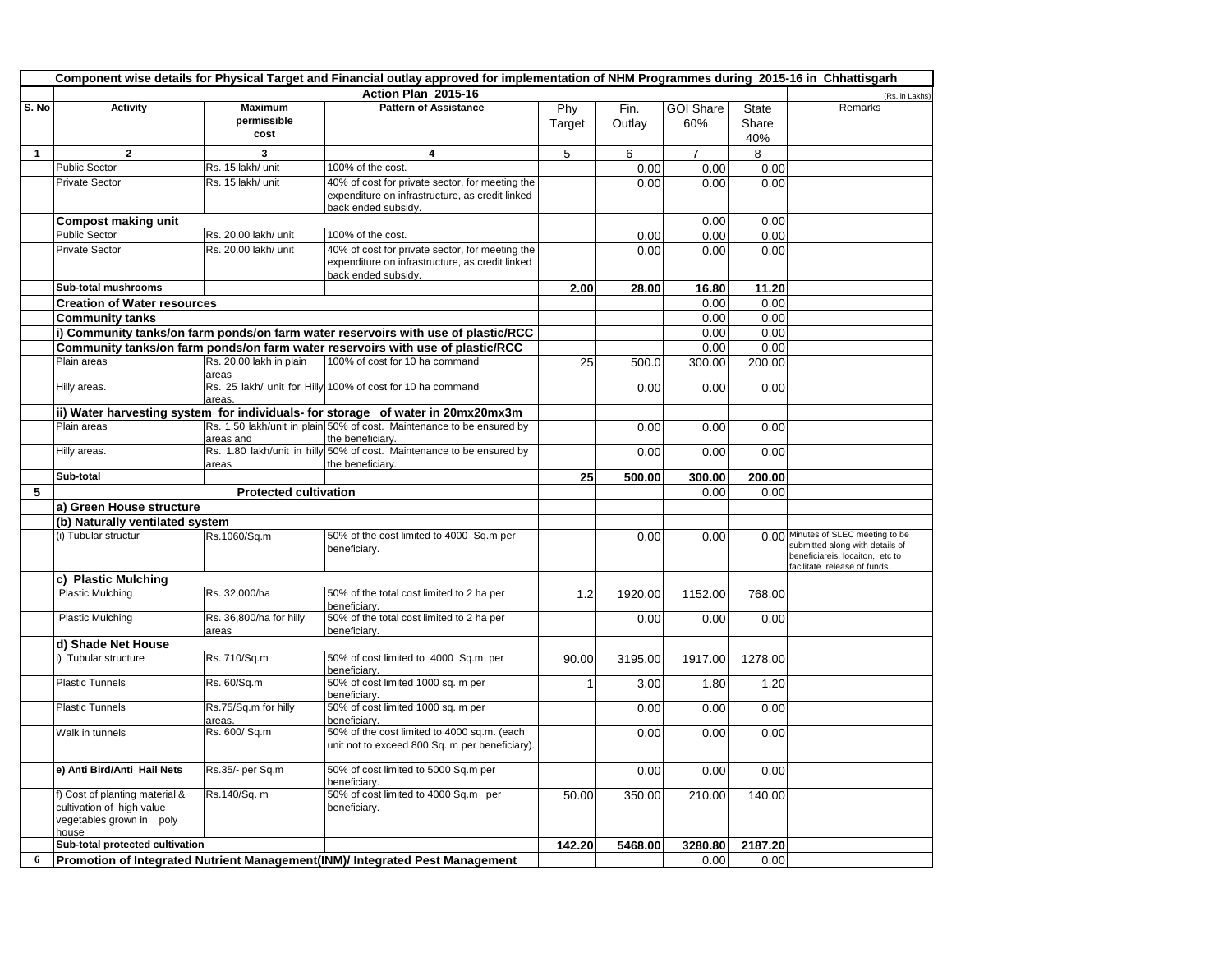|              | Component wise details for Physical Target and Financial outlay approved for implementation of NHM Programmes during 2015-16 in Chhattisgarh |                                       |                                                                                                                           |                |                |                         |                |                                                                                                                                     |  |
|--------------|----------------------------------------------------------------------------------------------------------------------------------------------|---------------------------------------|---------------------------------------------------------------------------------------------------------------------------|----------------|----------------|-------------------------|----------------|-------------------------------------------------------------------------------------------------------------------------------------|--|
|              |                                                                                                                                              |                                       | Action Plan 2015-16                                                                                                       |                |                |                         |                | (Rs. in Lakhs)                                                                                                                      |  |
| S. No        | <b>Activity</b>                                                                                                                              | <b>Maximum</b><br>permissible<br>cost | <b>Pattern of Assistance</b>                                                                                              | Phy<br>Target  | Fin.<br>Outlay | <b>GOI Share</b><br>60% | State<br>Share | Remarks                                                                                                                             |  |
| $\mathbf{1}$ | $\overline{\mathbf{2}}$                                                                                                                      | 3                                     | 4                                                                                                                         | 5              | 6              | $\overline{7}$          | 40%<br>8       |                                                                                                                                     |  |
|              | <b>Public Sector</b>                                                                                                                         | Rs. 15 lakh/ unit                     | 100% of the cost.                                                                                                         |                | 0.00           | 0.00                    | 0.00           |                                                                                                                                     |  |
|              | <b>Private Sector</b>                                                                                                                        | Rs. 15 lakh/ unit                     | 40% of cost for private sector, for meeting the<br>expenditure on infrastructure, as credit linked<br>back ended subsidy. |                | 0.00           | 0.00                    | 0.00           |                                                                                                                                     |  |
|              | <b>Compost making unit</b>                                                                                                                   |                                       |                                                                                                                           |                |                | 0.00                    | 0.00           |                                                                                                                                     |  |
|              | <b>Public Sector</b>                                                                                                                         | Rs. 20.00 lakh/ unit                  | 100% of the cost.                                                                                                         |                | 0.00           | 0.00                    | 0.00           |                                                                                                                                     |  |
|              | <b>Private Sector</b>                                                                                                                        | Rs. 20.00 lakh/ unit                  | 40% of cost for private sector, for meeting the<br>expenditure on infrastructure, as credit linked<br>back ended subsidy. |                | 0.00           | 0.00                    | 0.00           |                                                                                                                                     |  |
|              | Sub-total mushrooms                                                                                                                          |                                       |                                                                                                                           | 2.00           | 28.00          | 16.80                   | 11.20          |                                                                                                                                     |  |
|              | <b>Creation of Water resources</b>                                                                                                           |                                       |                                                                                                                           |                |                | 0.00                    | 0.00           |                                                                                                                                     |  |
|              | <b>Community tanks</b>                                                                                                                       |                                       |                                                                                                                           |                |                | 0.00                    | 0.00           |                                                                                                                                     |  |
|              |                                                                                                                                              |                                       | i) Community tanks/on farm ponds/on farm water reservoirs with use of plastic/RCC                                         |                |                | 0.00                    | 0.00           |                                                                                                                                     |  |
|              | Plain areas                                                                                                                                  | Rs. 20.00 lakh in plain               | Community tanks/on farm ponds/on farm water reservoirs with use of plastic/RCC<br>100% of cost for 10 ha command          | 25             | 500.0          | 0.00<br>300.00          | 0.00<br>200.00 |                                                                                                                                     |  |
|              |                                                                                                                                              | areas                                 |                                                                                                                           |                |                |                         |                |                                                                                                                                     |  |
|              | Hilly areas.                                                                                                                                 | areas.                                | Rs. 25 lakh/ unit for Hilly 100% of cost for 10 ha command                                                                |                | 0.00           | 0.00                    | 0.00           |                                                                                                                                     |  |
|              |                                                                                                                                              |                                       | ii) Water harvesting system for individuals- for storage of water in 20mx20mx3m                                           |                |                |                         |                |                                                                                                                                     |  |
|              | Plain areas                                                                                                                                  | areas and                             | Rs. 1.50 lakh/unit in plain 50% of cost. Maintenance to be ensured by<br>the beneficiary.                                 |                | 0.00           | 0.00                    | 0.00           |                                                                                                                                     |  |
|              | Hilly areas.                                                                                                                                 | areas                                 | Rs. 1.80 lakh/unit in hilly 50% of cost. Maintenance to be ensured by<br>the beneficiary.                                 |                | 0.00           | 0.00                    | 0.00           |                                                                                                                                     |  |
|              | Sub-total                                                                                                                                    |                                       |                                                                                                                           | 25             | 500.00         | 300.00                  | 200.00         |                                                                                                                                     |  |
| 5            |                                                                                                                                              | <b>Protected cultivation</b>          |                                                                                                                           |                |                | 0.00                    | 0.00           |                                                                                                                                     |  |
|              | a) Green House structure                                                                                                                     |                                       |                                                                                                                           |                |                |                         |                |                                                                                                                                     |  |
|              | (b) Naturally ventilated system                                                                                                              |                                       |                                                                                                                           |                |                |                         |                |                                                                                                                                     |  |
|              | (i) Tubular structur                                                                                                                         | Rs.1060/Sq.m                          | 50% of the cost limited to 4000 Sq.m per<br>beneficiary.                                                                  |                | 0.00           | 0.00                    | 0.00           | Minutes of SLEC meeting to be<br>submitted along with details of<br>beneficiareis, locaiton, etc to<br>facilitate release of funds. |  |
|              | c) Plastic Mulching                                                                                                                          |                                       |                                                                                                                           |                |                |                         |                |                                                                                                                                     |  |
|              | <b>Plastic Mulching</b>                                                                                                                      | Rs. 32,000/ha                         | 50% of the total cost limited to 2 ha per<br>beneficiary.                                                                 | 1.2            | 1920.00        | 1152.00                 | 768.00         |                                                                                                                                     |  |
|              | <b>Plastic Mulching</b>                                                                                                                      | Rs. 36,800/ha for hilly<br>areas      | 50% of the total cost limited to 2 ha per<br>beneficiary.                                                                 |                | 0.00           | 0.00                    | 0.00           |                                                                                                                                     |  |
|              | d) Shade Net House                                                                                                                           |                                       |                                                                                                                           |                |                |                         |                |                                                                                                                                     |  |
|              | i) Tubular structure                                                                                                                         | Rs. 710/Sq.m                          | 50% of cost limited to 4000 Sq.m per<br>beneficiary.                                                                      | 90.00          | 3195.00        | 1917.00                 | 1278.00        |                                                                                                                                     |  |
|              | <b>Plastic Tunnels</b>                                                                                                                       | Rs. 60/Sq.m                           | 50% of cost limited 1000 sq. m per<br>beneficiarv.                                                                        | $\overline{1}$ | 3.00           | 1.80                    | 1.20           |                                                                                                                                     |  |
|              | <b>Plastic Tunnels</b>                                                                                                                       | Rs.75/Sq.m for hilly<br>areas.        | 50% of cost limited 1000 sq. m per<br>beneficiary.                                                                        |                | 0.00           | 0.00                    | 0.00           |                                                                                                                                     |  |
|              | Walk in tunnels                                                                                                                              | Rs. 600/ Sq.m                         | 50% of the cost limited to 4000 sq.m. (each<br>unit not to exceed 800 Sq. m per beneficiary).                             |                | 0.00           | 0.00                    | 0.00           |                                                                                                                                     |  |
|              | e) Anti Bird/Anti Hail Nets                                                                                                                  | Rs.35/- per Sq.m                      | 50% of cost limited to 5000 Sq.m per<br>beneficiary.                                                                      |                | 0.00           | 0.00                    | 0.00           |                                                                                                                                     |  |
|              | f) Cost of planting material &<br>cultivation of high value<br>vegetables grown in poly<br>house                                             | Rs.140/Sq. m                          | 50% of cost limited to 4000 Sq.m per<br>beneficiary.                                                                      | 50.00          | 350.00         | 210.00                  | 140.00         |                                                                                                                                     |  |
|              | Sub-total protected cultivation                                                                                                              |                                       |                                                                                                                           | 142.20         | 5468.00        | 3280.80                 | 2187.20        |                                                                                                                                     |  |
| 6            |                                                                                                                                              |                                       | Promotion of Integrated Nutrient Management(INM)/ Integrated Pest Management                                              |                |                | 0.00                    | 0.00           |                                                                                                                                     |  |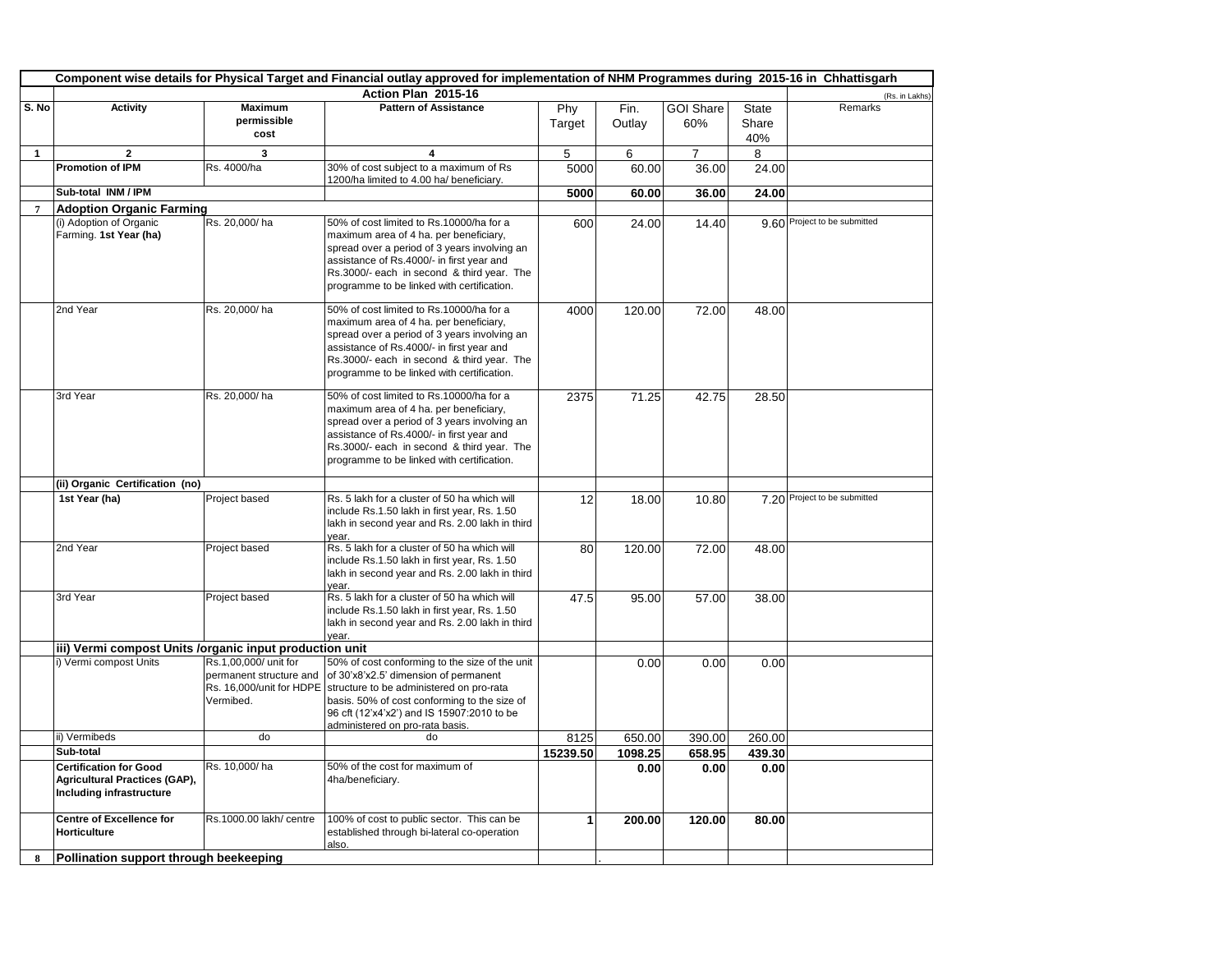| Component wise details for Physical Target and Financial outlay approved for implementation of NHM Programmes during 2015-16 in Chhattisgarh |                                                                                                   |                                                               |                                                                                                                                                                                                                                                                                               |               |                |                         |                       |                              |
|----------------------------------------------------------------------------------------------------------------------------------------------|---------------------------------------------------------------------------------------------------|---------------------------------------------------------------|-----------------------------------------------------------------------------------------------------------------------------------------------------------------------------------------------------------------------------------------------------------------------------------------------|---------------|----------------|-------------------------|-----------------------|------------------------------|
|                                                                                                                                              |                                                                                                   |                                                               | Action Plan 2015-16                                                                                                                                                                                                                                                                           |               |                |                         |                       | (Rs. in Lakhs)               |
| S. No                                                                                                                                        | <b>Activity</b>                                                                                   | <b>Maximum</b><br>permissible<br>cost                         | <b>Pattern of Assistance</b>                                                                                                                                                                                                                                                                  | Phy<br>Target | Fin.<br>Outlay | <b>GOI Share</b><br>60% | State<br>Share<br>40% | Remarks                      |
| $\mathbf{1}$                                                                                                                                 | $\overline{2}$                                                                                    | 3                                                             | 4                                                                                                                                                                                                                                                                                             | 5             | 6              | $\overline{7}$          | 8                     |                              |
|                                                                                                                                              | Promotion of IPM                                                                                  | Rs. 4000/ha                                                   | 30% of cost subject to a maximum of Rs<br>1200/ha limited to 4.00 ha/ beneficiary.                                                                                                                                                                                                            | 5000          | 60.00          | 36.00                   | 24.00                 |                              |
|                                                                                                                                              | Sub-total INM / IPM                                                                               |                                                               |                                                                                                                                                                                                                                                                                               | 5000          | 60.00          | 36.00                   | 24.00                 |                              |
| $\overline{7}$                                                                                                                               | <b>Adoption Organic Farming</b>                                                                   |                                                               |                                                                                                                                                                                                                                                                                               |               |                |                         |                       |                              |
|                                                                                                                                              | (i) Adoption of Organic<br>Farming. 1st Year (ha)                                                 | Rs. 20,000/ha                                                 | 50% of cost limited to Rs.10000/ha for a<br>maximum area of 4 ha. per beneficiary,<br>spread over a period of 3 years involving an<br>assistance of Rs.4000/- in first year and<br>Rs.3000/- each in second & third year. The<br>programme to be linked with certification.                   | 600           | 24.00          | 14.40                   |                       | 9.60 Project to be submitted |
|                                                                                                                                              | 2nd Year                                                                                          | Rs. 20,000/ha                                                 | 50% of cost limited to Rs.10000/ha for a<br>maximum area of 4 ha. per beneficiary,<br>spread over a period of 3 years involving an<br>assistance of Rs.4000/- in first year and<br>Rs.3000/- each in second & third year. The<br>programme to be linked with certification.                   | 4000          | 120.00         | 72.00                   | 48.00                 |                              |
|                                                                                                                                              | 3rd Year                                                                                          | Rs. 20,000/ha                                                 | 50% of cost limited to Rs.10000/ha for a<br>maximum area of 4 ha. per beneficiary,<br>spread over a period of 3 years involving an<br>assistance of Rs.4000/- in first year and<br>Rs.3000/- each in second & third year. The<br>programme to be linked with certification.                   | 2375          | 71.25          | 42.75                   | 28.50                 |                              |
|                                                                                                                                              | (ii) Organic Certification (no)                                                                   |                                                               |                                                                                                                                                                                                                                                                                               |               |                |                         |                       |                              |
|                                                                                                                                              | 1st Year (ha)                                                                                     | Project based                                                 | Rs. 5 lakh for a cluster of 50 ha which will<br>include Rs.1.50 lakh in first year, Rs. 1.50<br>lakh in second year and Rs. 2.00 lakh in third<br>vear.                                                                                                                                       | 12            | 18.00          | 10.80                   |                       | 7.20 Project to be submitted |
|                                                                                                                                              | 2nd Year                                                                                          | Project based                                                 | Rs. 5 lakh for a cluster of 50 ha which will<br>include Rs.1.50 lakh in first year, Rs. 1.50<br>lakh in second year and Rs. 2.00 lakh in third<br>vear.                                                                                                                                       | 80            | 120.00         | 72.00                   | 48.00                 |                              |
|                                                                                                                                              | 3rd Year                                                                                          | Project based                                                 | Rs. 5 lakh for a cluster of 50 ha which will<br>include Rs.1.50 lakh in first year, Rs. 1.50<br>lakh in second year and Rs. 2.00 lakh in third<br>Vear                                                                                                                                        | 47.5          | 95.00          | 57.00                   | 38.00                 |                              |
|                                                                                                                                              | iii) Vermi compost Units /organic input production unit                                           |                                                               |                                                                                                                                                                                                                                                                                               |               |                |                         |                       |                              |
|                                                                                                                                              | i) Vermi compost Units                                                                            | Rs.1,00,000/ unit for<br>permanent structure and<br>Vermibed. | 50% of cost conforming to the size of the unit<br>of 30'x8'x2.5' dimension of permanent<br>Rs. 16,000/unit for HDPE structure to be administered on pro-rata<br>basis. 50% of cost conforming to the size of<br>96 cft (12'x4'x2') and IS 15907:2010 to be<br>administered on pro-rata basis. |               | 0.00           | 0.00                    | 0.00                  |                              |
|                                                                                                                                              | ii) Vermibeds                                                                                     | do                                                            | do                                                                                                                                                                                                                                                                                            | 8125          | 650.00         | 390.00                  | 260.00                |                              |
|                                                                                                                                              | Sub-total                                                                                         |                                                               |                                                                                                                                                                                                                                                                                               | 15239.50      | 1098.25        | 658.95                  | 439.30                |                              |
|                                                                                                                                              | <b>Certification for Good</b><br><b>Agricultural Practices (GAP),</b><br>Including infrastructure | Rs. 10,000/ha                                                 | 50% of the cost for maximum of<br>4ha/beneficiary.                                                                                                                                                                                                                                            |               | 0.00           | 0.00                    | 0.00                  |                              |
|                                                                                                                                              | <b>Centre of Excellence for</b><br>Horticulture                                                   | Rs.1000.00 lakh/ centre                                       | 100% of cost to public sector. This can be<br>established through bi-lateral co-operation<br>also.                                                                                                                                                                                            | 1             | 200.00         | 120.00                  | 80.00                 |                              |
| 8                                                                                                                                            | Pollination support through beekeeping                                                            |                                                               |                                                                                                                                                                                                                                                                                               |               |                |                         |                       |                              |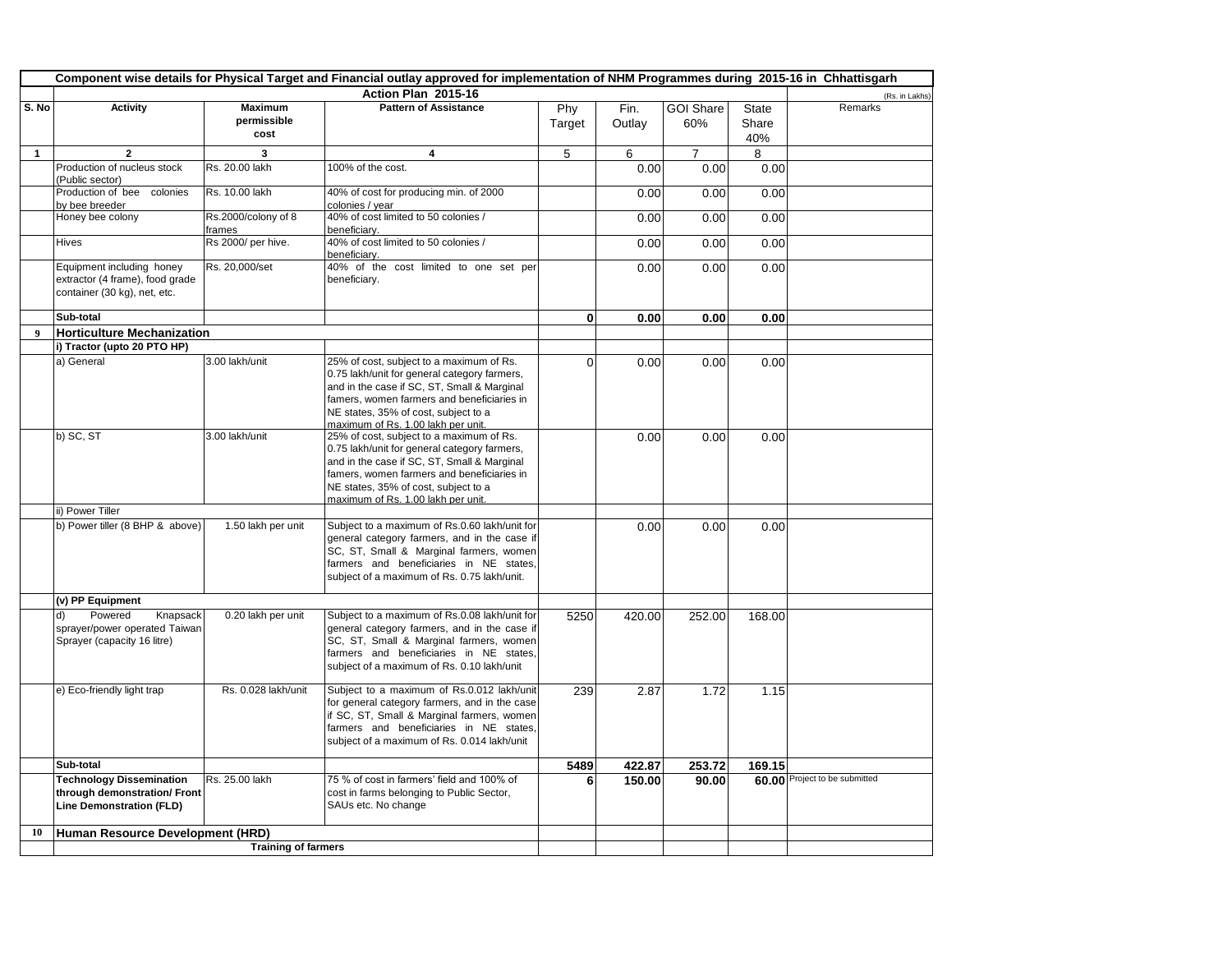|                  | Component wise details for Physical Target and Financial outlay approved for implementation of NHM Programmes during 2015-16 in Chhattisgarh |                                       |                                                                                                                                                                                                                                                                     |               |                |                         |                              |                               |
|------------------|----------------------------------------------------------------------------------------------------------------------------------------------|---------------------------------------|---------------------------------------------------------------------------------------------------------------------------------------------------------------------------------------------------------------------------------------------------------------------|---------------|----------------|-------------------------|------------------------------|-------------------------------|
|                  |                                                                                                                                              |                                       | Action Plan 2015-16                                                                                                                                                                                                                                                 |               |                |                         |                              | (Rs. in Lakhs)                |
| S. No            | <b>Activity</b>                                                                                                                              | <b>Maximum</b><br>permissible<br>cost | <b>Pattern of Assistance</b>                                                                                                                                                                                                                                        | Phy<br>Target | Fin.<br>Outlay | <b>GOI Share</b><br>60% | <b>State</b><br>Share<br>40% | Remarks                       |
| $\mathbf{1}$     | $\mathbf{2}$                                                                                                                                 | 3                                     | 4                                                                                                                                                                                                                                                                   | 5             | 6              | $\overline{7}$          | 8                            |                               |
|                  | Production of nucleus stock<br>(Public sector)                                                                                               | Rs. 20.00 lakh                        | 100% of the cost.                                                                                                                                                                                                                                                   |               | 0.00           | 0.00                    | 0.00                         |                               |
|                  | Production of bee<br>colonies<br>by bee breeder                                                                                              | Rs. 10.00 lakh                        | 40% of cost for producing min. of 2000<br>colonies / vear                                                                                                                                                                                                           |               | 0.00           | 0.00                    | 0.00                         |                               |
|                  | Honey bee colony                                                                                                                             | Rs.2000/colony of 8<br>frames         | 40% of cost limited to 50 colonies /<br>beneficiary.                                                                                                                                                                                                                |               | 0.00           | 0.00                    | 0.00                         |                               |
|                  | <b>Hives</b>                                                                                                                                 | Rs 2000/ per hive.                    | 40% of cost limited to 50 colonies /<br>beneficiarv.                                                                                                                                                                                                                |               | 0.00           | 0.00                    | 0.00                         |                               |
|                  | Equipment including honey<br>extractor (4 frame), food grade<br>container (30 kg), net, etc.                                                 | Rs. 20,000/set                        | 40% of the cost limited to one set per<br>beneficiary.                                                                                                                                                                                                              |               | 0.00           | 0.00                    | 0.00                         |                               |
|                  | Sub-total                                                                                                                                    |                                       |                                                                                                                                                                                                                                                                     | $\bf{0}$      | 0.00           | 0.00                    | 0.00                         |                               |
| $\boldsymbol{9}$ | <b>Horticulture Mechanization</b>                                                                                                            |                                       |                                                                                                                                                                                                                                                                     |               |                |                         |                              |                               |
|                  | i) Tractor (upto 20 PTO HP)                                                                                                                  |                                       |                                                                                                                                                                                                                                                                     |               |                |                         |                              |                               |
|                  | a) General                                                                                                                                   | 3.00 lakh/unit                        | 25% of cost, subject to a maximum of Rs.<br>0.75 lakh/unit for general category farmers,<br>and in the case if SC, ST, Small & Marginal<br>famers, women farmers and beneficiaries in<br>NE states, 35% of cost, subject to a<br>maximum of Rs. 1.00 lakh per unit. | $\mathbf 0$   | 0.00           | 0.00                    | 0.00                         |                               |
|                  | b) SC, ST                                                                                                                                    | 3.00 lakh/unit                        | 25% of cost, subject to a maximum of Rs.<br>0.75 lakh/unit for general category farmers,<br>and in the case if SC, ST, Small & Marginal<br>famers, women farmers and beneficiaries in<br>NE states, 35% of cost, subject to a<br>maximum of Rs. 1.00 lakh per unit. |               | 0.00           | 0.00                    | 0.00                         |                               |
|                  | ii) Power Tiller                                                                                                                             |                                       |                                                                                                                                                                                                                                                                     |               |                |                         |                              |                               |
|                  | b) Power tiller (8 BHP & above)                                                                                                              | 1.50 lakh per unit                    | Subject to a maximum of Rs.0.60 lakh/unit for<br>general category farmers, and in the case if<br>SC, ST, Small & Marginal farmers, women<br>farmers and beneficiaries in NE states,<br>subject of a maximum of Rs. 0.75 lakh/unit.                                  |               | 0.00           | 0.00                    | 0.00                         |                               |
|                  | (v) PP Equipment                                                                                                                             |                                       |                                                                                                                                                                                                                                                                     |               |                |                         |                              |                               |
|                  | Powered<br>d)<br>Knapsack<br>sprayer/power operated Taiwan<br>Sprayer (capacity 16 litre)                                                    | 0.20 lakh per unit                    | Subject to a maximum of Rs.0.08 lakh/unit for<br>general category farmers, and in the case if<br>SC, ST, Small & Marginal farmers, women<br>farmers and beneficiaries in NE states,<br>subject of a maximum of Rs. 0.10 lakh/unit                                   | 5250          | 420.00         | 252.00                  | 168.00                       |                               |
|                  | e) Eco-friendly light trap                                                                                                                   | Rs. 0.028 lakh/unit                   | Subject to a maximum of Rs.0.012 lakh/unit<br>for general category farmers, and in the case<br>if SC, ST, Small & Marginal farmers, women<br>farmers and beneficiaries in NE states,<br>subject of a maximum of Rs. 0.014 lakh/unit                                 | 239           | 2.87           | 1.72                    | 1.15                         |                               |
|                  | Sub-total                                                                                                                                    |                                       |                                                                                                                                                                                                                                                                     | 5489          | 422.87         | 253.72                  | 169.15                       |                               |
|                  | <b>Technology Dissemination</b><br>through demonstration/ Front<br><b>Line Demonstration (FLD)</b>                                           | Rs. 25.00 lakh                        | 75 % of cost in farmers' field and 100% of<br>cost in farms belonging to Public Sector,<br>SAUs etc. No change                                                                                                                                                      | 6             | 150.00         | 90.00                   |                              | 60.00 Project to be submitted |
| 10               | Human Resource Development (HRD)                                                                                                             |                                       |                                                                                                                                                                                                                                                                     |               |                |                         |                              |                               |
|                  |                                                                                                                                              |                                       |                                                                                                                                                                                                                                                                     |               |                |                         |                              |                               |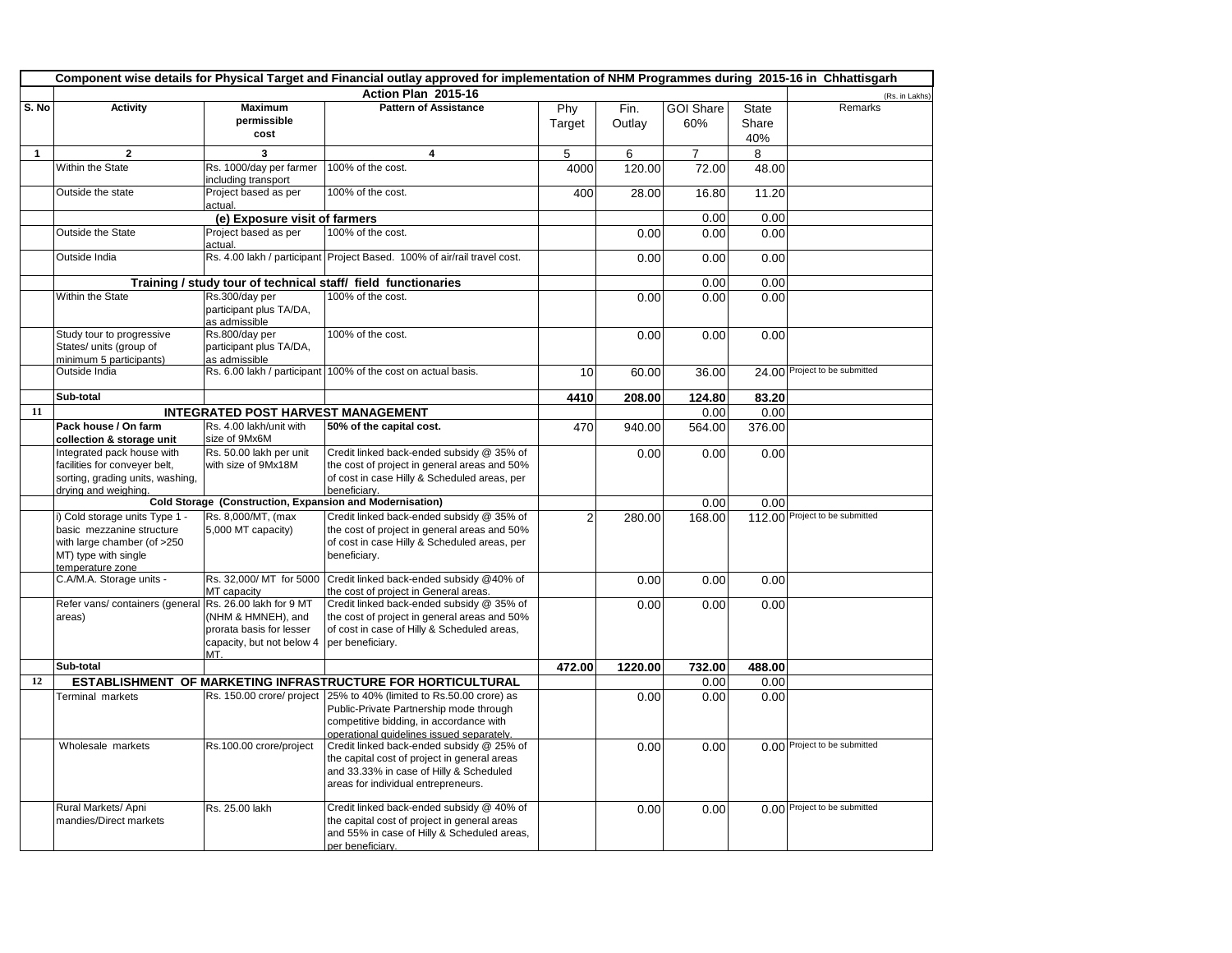|       | Component wise details for Physical Target and Financial outlay approved for implementation of NHM Programmes during 2015-16 in Chhattisgarh |                                                            |                                                                                             |                |                |                         |                       |                                |
|-------|----------------------------------------------------------------------------------------------------------------------------------------------|------------------------------------------------------------|---------------------------------------------------------------------------------------------|----------------|----------------|-------------------------|-----------------------|--------------------------------|
|       |                                                                                                                                              |                                                            | Action Plan 2015-16                                                                         |                |                |                         |                       | (Rs. in Lakhs)                 |
| S. No | <b>Activity</b>                                                                                                                              | <b>Maximum</b><br>permissible                              | <b>Pattern of Assistance</b>                                                                | Phy            | Fin.<br>Outlay | <b>GOI Share</b><br>60% | <b>State</b><br>Share | Remarks                        |
|       |                                                                                                                                              | cost                                                       |                                                                                             | Target         |                |                         | 40%                   |                                |
| 1     | $\mathbf{2}$                                                                                                                                 | $\mathbf{3}$                                               | 4                                                                                           | 5              | 6              | $\overline{7}$          | 8                     |                                |
|       | Within the State                                                                                                                             | Rs. 1000/day per farmer<br>including transport             | 100% of the cost.                                                                           | 4000           | 120.00         | 72.00                   | 48.00                 |                                |
|       | Outside the state                                                                                                                            | Project based as per<br>actual.                            | 100% of the cost.                                                                           | 400            | 28.00          | 16.80                   | 11.20                 |                                |
|       |                                                                                                                                              | (e) Exposure visit of farmers                              |                                                                                             |                |                | 0.00                    | 0.00                  |                                |
|       | Outside the State                                                                                                                            | Project based as per                                       | 100% of the cost.                                                                           |                | 0.00           | 0.00                    | 0.00                  |                                |
|       |                                                                                                                                              | actual.                                                    |                                                                                             |                |                |                         |                       |                                |
|       | Outside India                                                                                                                                |                                                            | Rs. 4.00 lakh / participant Project Based. 100% of air/rail travel cost.                    |                | 0.00           | 0.00                    | 0.00                  |                                |
|       |                                                                                                                                              |                                                            | Training / study tour of technical staff/ field functionaries                               |                |                | 0.00                    | 0.00                  |                                |
|       | Within the State                                                                                                                             | Rs.300/day per<br>participant plus TA/DA,<br>as admissible | 100% of the cost.                                                                           |                | 0.00           | 0.00                    | 0.00                  |                                |
|       | Study tour to progressive<br>States/ units (group of<br>minimum 5 participants)                                                              | Rs.800/day per<br>participant plus TA/DA,<br>as admissible | 100% of the cost.                                                                           |                | 0.00           | 0.00                    | 0.00                  |                                |
|       | Outside India                                                                                                                                |                                                            | Rs. 6.00 lakh / participant 100% of the cost on actual basis.                               | 10             | 60.00          | 36.00                   |                       | 24.00 Project to be submitted  |
|       | Sub-total                                                                                                                                    |                                                            |                                                                                             | 4410           | 208.00         | 124.80                  | 83.20                 |                                |
| 11    |                                                                                                                                              | <b>INTEGRATED POST HARVEST MANAGEMENT</b>                  |                                                                                             |                |                | 0.00                    | 0.00                  |                                |
|       | Pack house / On farm                                                                                                                         | Rs. 4.00 lakh/unit with                                    | 50% of the capital cost.                                                                    | 470            | 940.00         | 564.00                  | 376.00                |                                |
|       | collection & storage unit                                                                                                                    | size of 9Mx6M                                              |                                                                                             |                |                |                         |                       |                                |
|       | Integrated pack house with                                                                                                                   | Rs. 50.00 lakh per unit                                    | Credit linked back-ended subsidy @ 35% of                                                   |                | 0.00           | 0.00                    | 0.00                  |                                |
|       | facilities for conveyer belt,                                                                                                                | with size of 9Mx18M                                        | the cost of project in general areas and 50%                                                |                |                |                         |                       |                                |
|       | sorting, grading units, washing,<br>drying and weighing.                                                                                     |                                                            | of cost in case Hilly & Scheduled areas, per<br>beneficiarv.                                |                |                |                         |                       |                                |
|       |                                                                                                                                              | Cold Storage (Construction, Expansion and Modernisation)   |                                                                                             |                |                | 0.00                    | 0.00                  |                                |
|       | i) Cold storage units Type 1 -                                                                                                               | Rs. 8,000/MT, (max                                         | Credit linked back-ended subsidy @ 35% of                                                   | $\overline{2}$ | 280.00         | 168.00                  |                       | 112.00 Project to be submitted |
|       | basic mezzanine structure                                                                                                                    | 5,000 MT capacity)                                         | the cost of project in general areas and 50%                                                |                |                |                         |                       |                                |
|       | with large chamber (of >250                                                                                                                  |                                                            | of cost in case Hilly & Scheduled areas, per                                                |                |                |                         |                       |                                |
|       | MT) type with single<br>temperature zone                                                                                                     |                                                            | beneficiarv.                                                                                |                |                |                         |                       |                                |
|       | C.A/M.A. Storage units -                                                                                                                     | Rs. 32,000/ MT for 5000                                    | Credit linked back-ended subsidy @40% of                                                    |                | 0.00           | 0.00                    | 0.00                  |                                |
|       |                                                                                                                                              | MT capacity                                                | the cost of project in General areas.                                                       |                |                |                         |                       |                                |
|       | Refer vans/ containers (general                                                                                                              | Rs. 26.00 lakh for 9 MT                                    | Credit linked back-ended subsidy @ 35% of                                                   |                | 0.00           | 0.00                    | 0.00                  |                                |
|       | areas)                                                                                                                                       | (NHM & HMNEH), and<br>prorata basis for lesser             | the cost of project in general areas and 50%<br>of cost in case of Hilly & Scheduled areas, |                |                |                         |                       |                                |
|       |                                                                                                                                              | capacity, but not below 4                                  | per beneficiary.                                                                            |                |                |                         |                       |                                |
|       |                                                                                                                                              | MT.                                                        |                                                                                             |                |                |                         |                       |                                |
|       | Sub-total                                                                                                                                    |                                                            |                                                                                             | 472.00         | 1220.00        | 732.00                  | 488.00                |                                |
| 12    |                                                                                                                                              |                                                            | ESTABLISHMENT OF MARKETING INFRASTRUCTURE FOR HORTICULTURAL                                 |                |                | 0.00                    | 0.00                  |                                |
|       | Terminal markets                                                                                                                             |                                                            | Rs. 150.00 crore/ project 25% to 40% (limited to Rs.50.00 crore) as                         |                | 0.00           | 0.00                    | 0.00                  |                                |
|       |                                                                                                                                              |                                                            | Public-Private Partnership mode through                                                     |                |                |                         |                       |                                |
|       |                                                                                                                                              |                                                            | competitive bidding, in accordance with<br>operational quidelines issued separately.        |                |                |                         |                       |                                |
|       | Wholesale markets                                                                                                                            | Rs.100.00 crore/project                                    | Credit linked back-ended subsidy @ 25% of                                                   |                | 0.00           | 0.00                    |                       | 0.00 Project to be submitted   |
|       |                                                                                                                                              |                                                            | the capital cost of project in general areas                                                |                |                |                         |                       |                                |
|       |                                                                                                                                              |                                                            | and 33.33% in case of Hilly & Scheduled                                                     |                |                |                         |                       |                                |
|       |                                                                                                                                              |                                                            | areas for individual entrepreneurs.                                                         |                |                |                         |                       |                                |
|       | Rural Markets/ Apni                                                                                                                          | Rs. 25.00 lakh                                             | Credit linked back-ended subsidy @ 40% of                                                   |                | 0.00           | 0.00                    |                       | 0.00 Project to be submitted   |
|       | mandies/Direct markets                                                                                                                       |                                                            | the capital cost of project in general areas                                                |                |                |                         |                       |                                |
|       |                                                                                                                                              |                                                            | and 55% in case of Hilly & Scheduled areas,                                                 |                |                |                         |                       |                                |
|       |                                                                                                                                              |                                                            | per beneficiary.                                                                            |                |                |                         |                       |                                |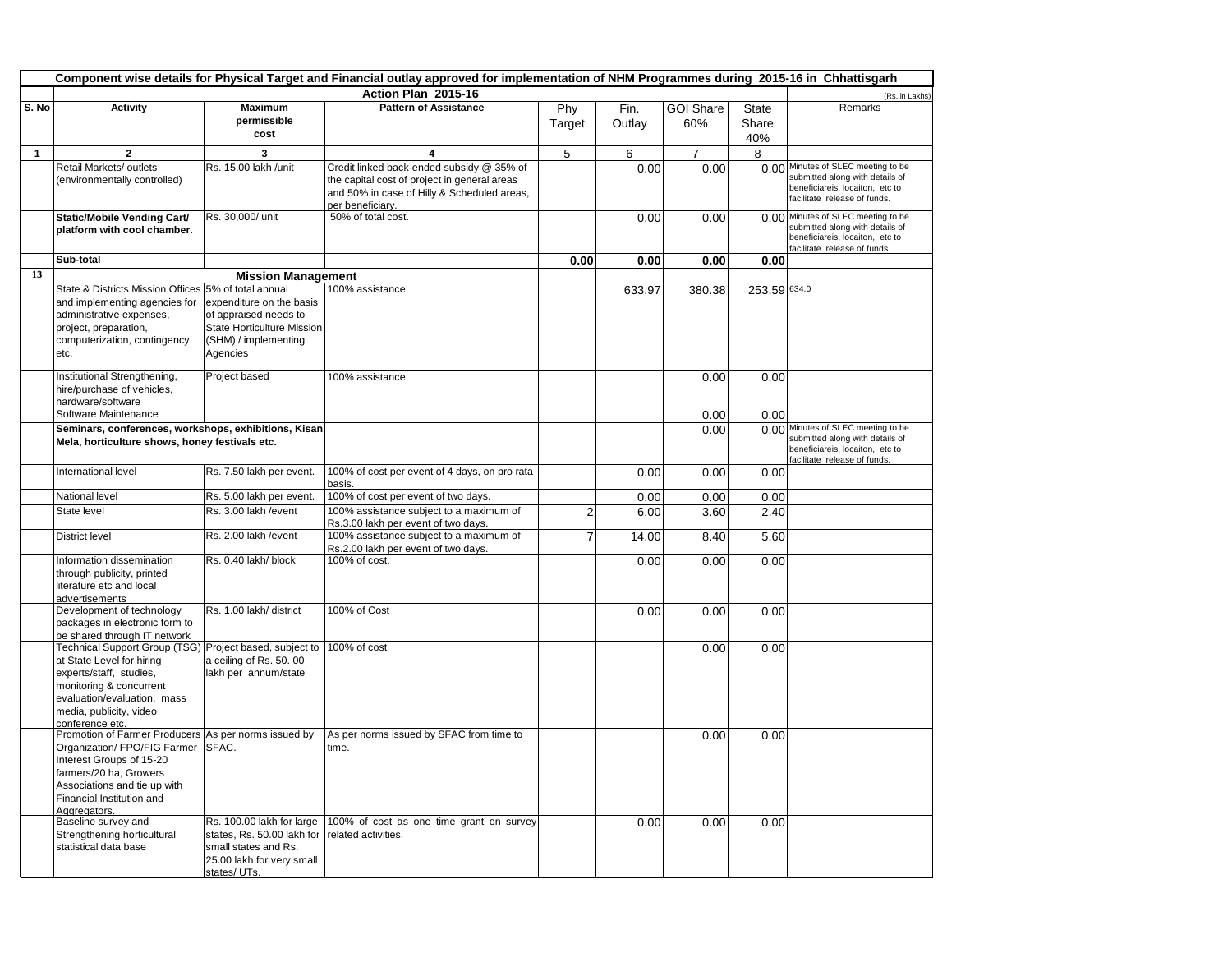|       | Component wise details for Physical Target and Financial outlay approved for implementation of NHM Programmes during 2015-16 in Chhattisgarh                                                                            |                                                                                                                              |                                                                                                                 |                |                |                         |                |                                                                                                                                          |
|-------|-------------------------------------------------------------------------------------------------------------------------------------------------------------------------------------------------------------------------|------------------------------------------------------------------------------------------------------------------------------|-----------------------------------------------------------------------------------------------------------------|----------------|----------------|-------------------------|----------------|------------------------------------------------------------------------------------------------------------------------------------------|
|       |                                                                                                                                                                                                                         |                                                                                                                              | Action Plan 2015-16                                                                                             |                |                |                         |                | (Rs. in Lakhs)                                                                                                                           |
| S. No | <b>Activity</b>                                                                                                                                                                                                         | <b>Maximum</b><br>permissible<br>cost                                                                                        | <b>Pattern of Assistance</b>                                                                                    | Phy<br>Target  | Fin.<br>Outlay | <b>GOI Share</b><br>60% | State<br>Share | Remarks                                                                                                                                  |
| 1     | $\overline{2}$                                                                                                                                                                                                          | 3                                                                                                                            | $\overline{\mathbf{4}}$                                                                                         | 5              | 6              | $\overline{7}$          | 40%<br>8       |                                                                                                                                          |
|       | Retail Markets/ outlets                                                                                                                                                                                                 | Rs. 15.00 lakh /unit                                                                                                         | Credit linked back-ended subsidy @ 35% of                                                                       |                | 0.00           | 0.00                    |                | 0.00 Minutes of SLEC meeting to be                                                                                                       |
|       | (environmentally controlled)                                                                                                                                                                                            |                                                                                                                              | the capital cost of project in general areas<br>and 50% in case of Hilly & Scheduled areas,<br>per beneficiary. |                |                |                         |                | submitted along with details of<br>beneficiareis, locaiton, etc to<br>facilitate release of funds.                                       |
|       | Static/Mobile Vending Cart/<br>platform with cool chamber.                                                                                                                                                              | Rs. 30,000/ unit                                                                                                             | 50% of total cost.                                                                                              |                | 0.00           | 0.00                    |                | 0.00 Minutes of SLEC meeting to be<br>submitted along with details of<br>beneficiareis, locaiton, etc to<br>facilitate release of funds. |
|       | Sub-total                                                                                                                                                                                                               |                                                                                                                              |                                                                                                                 | 0.00           | 0.00           | 0.00                    | 0.00           |                                                                                                                                          |
| 13    |                                                                                                                                                                                                                         | <b>Mission Management</b>                                                                                                    |                                                                                                                 |                |                |                         |                |                                                                                                                                          |
|       | State & Districts Mission Offices 5% of total annual<br>and implementing agencies for<br>administrative expenses,<br>project, preparation,<br>computerization, contingency<br>etc.                                      | expenditure on the basis<br>of appraised needs to<br>State Horticulture Mission<br>(SHM) / implementing<br>Agencies          | 100% assistance.                                                                                                |                | 633.97         | 380.38                  | 253.59 634.0   |                                                                                                                                          |
|       | Institutional Strengthening,<br>hire/purchase of vehicles,<br>hardware/software                                                                                                                                         | Project based                                                                                                                | 100% assistance.                                                                                                |                |                | 0.00                    | 0.00           |                                                                                                                                          |
|       | Software Maintenance                                                                                                                                                                                                    |                                                                                                                              |                                                                                                                 |                |                | 0.00                    | 0.00           |                                                                                                                                          |
|       | Seminars, conferences, workshops, exhibitions, Kisan<br>Mela, horticulture shows, honey festivals etc.                                                                                                                  |                                                                                                                              |                                                                                                                 |                |                | 0.00                    |                | 0.00 Minutes of SLEC meeting to be<br>submitted along with details of<br>beneficiareis, locaiton, etc to<br>facilitate release of funds. |
|       | International level                                                                                                                                                                                                     | Rs. 7.50 lakh per event.                                                                                                     | 100% of cost per event of 4 days, on pro rata<br>basis.                                                         |                | 0.00           | 0.00                    | 0.00           |                                                                                                                                          |
|       | National level                                                                                                                                                                                                          | Rs. 5.00 lakh per event.                                                                                                     | 100% of cost per event of two days.                                                                             |                | 0.00           | 0.00                    | 0.00           |                                                                                                                                          |
|       | State level                                                                                                                                                                                                             | Rs. 3.00 lakh / event                                                                                                        | 100% assistance subject to a maximum of<br>Rs.3.00 lakh per event of two days.                                  | $\overline{2}$ | 6.00           | 3.60                    | 2.40           |                                                                                                                                          |
|       | <b>District level</b>                                                                                                                                                                                                   | Rs. 2.00 lakh /event                                                                                                         | 100% assistance subject to a maximum of<br>Rs.2.00 lakh per event of two days.                                  | $\overline{7}$ | 14.00          | 8.40                    | 5.60           |                                                                                                                                          |
|       | Information dissemination<br>through publicity, printed<br>literature etc and local<br>advertisements                                                                                                                   | Rs. 0.40 lakh/ block                                                                                                         | 100% of cost.                                                                                                   |                | 0.00           | 0.00                    | 0.00           |                                                                                                                                          |
|       | Development of technology<br>packages in electronic form to<br>be shared through IT network                                                                                                                             | Rs. 1.00 lakh/ district                                                                                                      | 100% of Cost                                                                                                    |                | 0.00           | 0.00                    | 0.00           |                                                                                                                                          |
|       | Technical Support Group (TSG) Project based, subject to<br>at State Level for hiring<br>experts/staff, studies,<br>monitoring & concurrent<br>evaluation/evaluation, mass<br>media, publicity, video<br>conference etc. | a ceiling of Rs. 50.00<br>lakh per annum/state                                                                               | 100% of cost                                                                                                    |                |                | 0.00                    | 0.00           |                                                                                                                                          |
|       | Promotion of Farmer Producers As per norms issued by<br>Organization/ FPO/FIG Farmer<br>Interest Groups of 15-20<br>farmers/20 ha, Growers<br>Associations and tie up with<br>Financial Institution and<br>Aggregators. | SFAC.                                                                                                                        | As per norms issued by SFAC from time to<br>time.                                                               |                |                | 0.00                    | 0.00           |                                                                                                                                          |
|       | Baseline survey and<br>Strengthening horticultural<br>statistical data base                                                                                                                                             | Rs. 100.00 lakh for large<br>states, Rs. 50.00 lakh for<br>small states and Rs.<br>25.00 lakh for very small<br>states/ UTs. | 100% of cost as one time grant on survey<br>related activities.                                                 |                | 0.00           | 0.00                    | 0.00           |                                                                                                                                          |